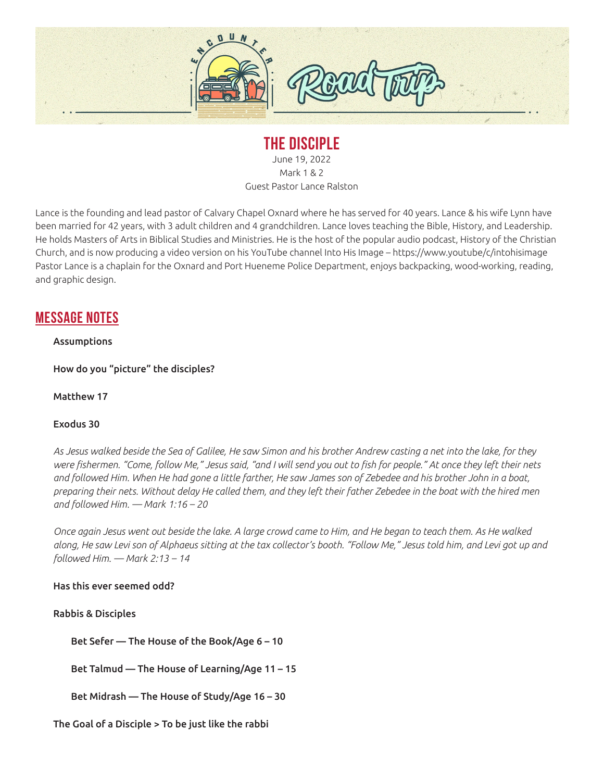

# **THE DISCIPLE**

June 19, 2022 Mark 1 & 2 Guest Pastor Lance Ralston

Lance is the founding and lead pastor of Calvary Chapel Oxnard where he has served for 40 years. Lance & his wife Lynn have been married for 42 years, with 3 adult children and 4 grandchildren. Lance loves teaching the Bible, History, and Leadership. He holds Masters of Arts in Biblical Studies and Ministries. He is the host of the popular audio podcast, History of the Christian Church, and is now producing a video version on his YouTube channel Into His Image – https://www.youtube/c/intohisimage Pastor Lance is a chaplain for the Oxnard and Port Hueneme Police Department, enjoys backpacking, wood-working, reading, and graphic design.

# **MESSAGE NOTES**

### Assumptions

How do you "picture" the disciples?

#### Matthew 17

#### Exodus 30

*As Jesus walked beside the Sea of Galilee, He saw Simon and his brother Andrew casting a net into the lake, for they were fishermen. "Come, follow Me," Jesus said, "and I will send you out to fish for people." At once they left their nets and followed Him. When He had gone a little farther, He saw James son of Zebedee and his brother John in a boat, preparing their nets. Without delay He called them, and they left their father Zebedee in the boat with the hired men and followed Him. — Mark 1:16 – 20*

*Once again Jesus went out beside the lake. A large crowd came to Him, and He began to teach them. As He walked along, He saw Levi son of Alphaeus sitting at the tax collector's booth. "Follow Me," Jesus told him, and Levi got up and followed Him. — Mark 2:13 – 14*

#### Has this ever seemed odd?

Rabbis & Disciples

Bet Sefer — The House of the Book/Age 6 – 10

Bet Talmud — The House of Learning/Age 11 – 15

Bet Midrash — The House of Study/Age 16 – 30

The Goal of a Disciple > To be just like the rabbi